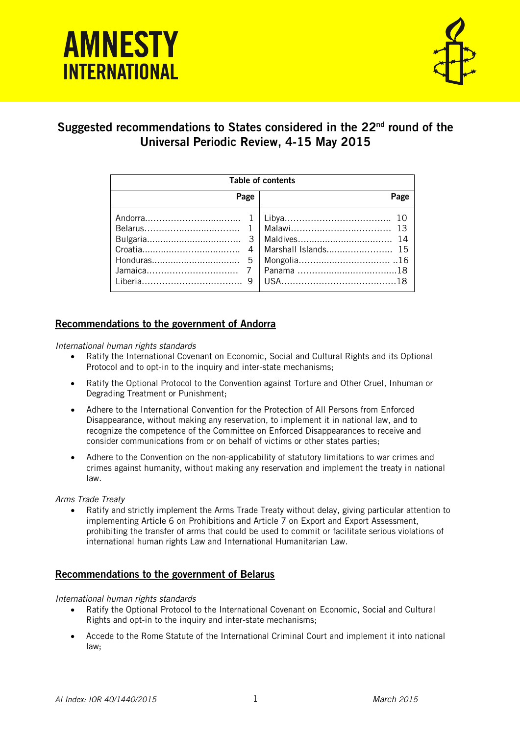# *Suggested recommendations to States considered in UPR22* **INTERNATIONAL**



# Suggested recommendations to States considered in the 22<sup>nd</sup> round of the Universal Periodic Review, 4-15 May 2015

| Table of contents |      |
|-------------------|------|
| Page              | Page |
|                   |      |

# Recommendations to the government of Andorra

*International human rights standards*

- Ratify the International Covenant on Economic, Social and Cultural Rights and its Optional Protocol and to opt-in to the inquiry and inter-state mechanisms;
- Ratify the Optional Protocol to the Convention against Torture and Other Cruel, Inhuman or Degrading Treatment or Punishment;
- Adhere to the International Convention for the Protection of All Persons from Enforced Disappearance, without making any reservation, to implement it in national law, and to recognize the competence of the Committee on Enforced Disappearances to receive and consider communications from or on behalf of victims or other states parties;
- Adhere to the Convention on the non-applicability of statutory limitations to war crimes and crimes against humanity, without making any reservation and implement the treaty in national law.

# *Arms Trade Treaty*

 Ratify and strictly implement the Arms Trade Treaty without delay, giving particular attention to implementing Article 6 on Prohibitions and Article 7 on Export and Export Assessment, prohibiting the transfer of arms that could be used to commit or facilitate serious violations of international human rights Law and International Humanitarian Law.

# Recommendations to the government of Belarus

# *International human rights standards*

- Ratify the Optional Protocol to the International Covenant on Economic, Social and Cultural Rights and opt-in to the inquiry and inter-state mechanisms;
- Accede to the Rome Statute of the International Criminal Court and implement it into national law;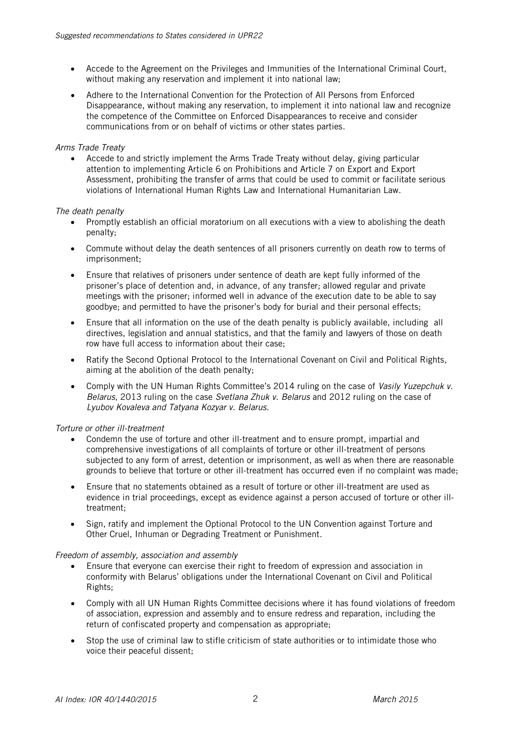- Accede to the Agreement on the Privileges and Immunities of the International Criminal Court, without making any reservation and implement it into national law;
- Adhere to the International Convention for the Protection of All Persons from Enforced Disappearance, without making any reservation, to implement it into national law and recognize the competence of the Committee on Enforced Disappearances to receive and consider communications from or on behalf of victims or other states parties.

# *Arms Trade Treaty*

 Accede to and strictly implement the Arms Trade Treaty without delay, giving particular attention to implementing Article 6 on Prohibitions and Article 7 on Export and Export Assessment, prohibiting the transfer of arms that could be used to commit or facilitate serious violations of International Human Rights Law and International Humanitarian Law.

# *The death penalty*

- Promptly establish an official moratorium on all executions with a view to abolishing the death penalty;
- Commute without delay the death sentences of all prisoners currently on death row to terms of imprisonment;
- Ensure that relatives of prisoners under sentence of death are kept fully informed of the prisoner's place of detention and, in advance, of any transfer; allowed regular and private meetings with the prisoner; informed well in advance of the execution date to be able to say goodbye; and permitted to have the prisoner's body for burial and their personal effects;
- Ensure that all information on the use of the death penalty is publicly available, including all directives, legislation and annual statistics, and that the family and lawyers of those on death row have full access to information about their case;
- Ratify the Second Optional Protocol to the International Covenant on Civil and Political Rights, aiming at the abolition of the death penalty;
- Comply with the UN Human Rights Committee's 2014 ruling on the case of *Vasily Yuzepchuk v. Belarus*, 2013 ruling on the case *Svetlana Zhuk v. Belarus* and 2012 ruling on the case of *Lyubov Kovaleva and Tatyana Kozyar v. Belarus*.

# *Torture or other ill-treatment*

- Condemn the use of torture and other ill-treatment and to ensure prompt, impartial and comprehensive investigations of all complaints of torture or other ill-treatment of persons subjected to any form of arrest, detention or imprisonment, as well as when there are reasonable grounds to believe that torture or other ill-treatment has occurred even if no complaint was made;
- Ensure that no statements obtained as a result of torture or other ill-treatment are used as evidence in trial proceedings, except as evidence against a person accused of torture or other illtreatment;
- Sign, ratify and implement the Optional Protocol to the UN Convention against Torture and Other Cruel, Inhuman or Degrading Treatment or Punishment.

# *Freedom of assembly, association and assembly*

- Ensure that everyone can exercise their right to freedom of expression and association in conformity with Belarus' obligations under the International Covenant on Civil and Political Rights;
- Comply with all UN Human Rights Committee decisions where it has found violations of freedom of association, expression and assembly and to ensure redress and reparation, including the return of confiscated property and compensation as appropriate;
- Stop the use of criminal law to stifle criticism of state authorities or to intimidate those who voice their peaceful dissent;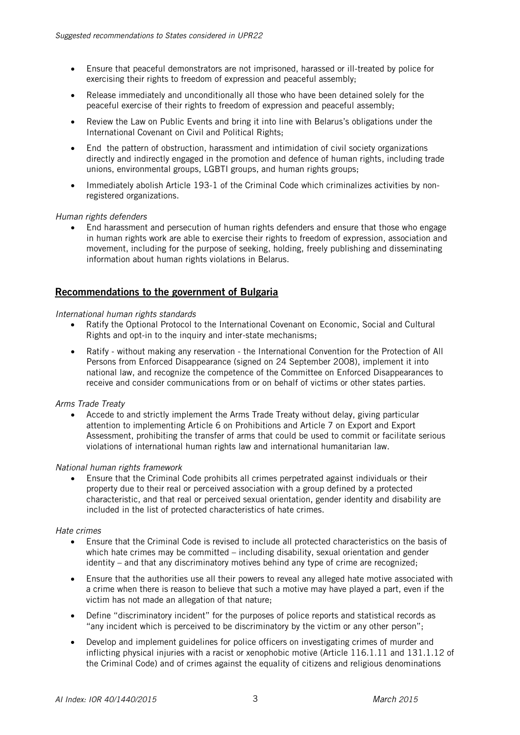- Ensure that peaceful demonstrators are not imprisoned, harassed or ill-treated by police for exercising their rights to freedom of expression and peaceful assembly;
- Release immediately and unconditionally all those who have been detained solely for the peaceful exercise of their rights to freedom of expression and peaceful assembly;
- Review the Law on Public Events and bring it into line with Belarus's obligations under the International Covenant on Civil and Political Rights;
- End the pattern of obstruction, harassment and intimidation of civil society organizations directly and indirectly engaged in the promotion and defence of human rights, including trade unions, environmental groups, LGBTI groups, and human rights groups;
- Immediately abolish Article 193-1 of the Criminal Code which criminalizes activities by nonregistered organizations.

#### *Human rights defenders*

 End harassment and persecution of human rights defenders and ensure that those who engage in human rights work are able to exercise their rights to freedom of expression, association and movement, including for the purpose of seeking, holding, freely publishing and disseminating information about human rights violations in Belarus.

# Recommendations to the government of Bulgaria

#### *International human rights standards*

- Ratify the Optional Protocol to the International Covenant on Economic, Social and Cultural Rights and opt-in to the inquiry and inter-state mechanisms;
- Ratify without making any reservation the International Convention for the Protection of All Persons from Enforced Disappearance (signed on 24 September 2008), implement it into national law, and recognize the competence of the Committee on Enforced Disappearances to receive and consider communications from or on behalf of victims or other states parties.

#### *Arms Trade Treaty*

 Accede to and strictly implement the Arms Trade Treaty without delay, giving particular attention to implementing Article 6 on Prohibitions and Article 7 on Export and Export Assessment, prohibiting the transfer of arms that could be used to commit or facilitate serious violations of international human rights law and international humanitarian law.

#### *National human rights framework*

 Ensure that the Criminal Code prohibits all crimes perpetrated against individuals or their property due to their real or perceived association with a group defined by a protected characteristic, and that real or perceived sexual orientation, gender identity and disability are included in the list of protected characteristics of hate crimes.

#### *Hate crimes*

- Ensure that the Criminal Code is revised to include all protected characteristics on the basis of which hate crimes may be committed – including disability, sexual orientation and gender identity – and that any discriminatory motives behind any type of crime are recognized;
- Ensure that the authorities use all their powers to reveal any alleged hate motive associated with a crime when there is reason to believe that such a motive may have played a part, even if the victim has not made an allegation of that nature;
- Define "discriminatory incident" for the purposes of police reports and statistical records as "any incident which is perceived to be discriminatory by the victim or any other person";
- Develop and implement guidelines for police officers on investigating crimes of murder and inflicting physical injuries with a racist or xenophobic motive (Article 116.1.11 and 131.1.12 of the Criminal Code) and of crimes against the equality of citizens and religious denominations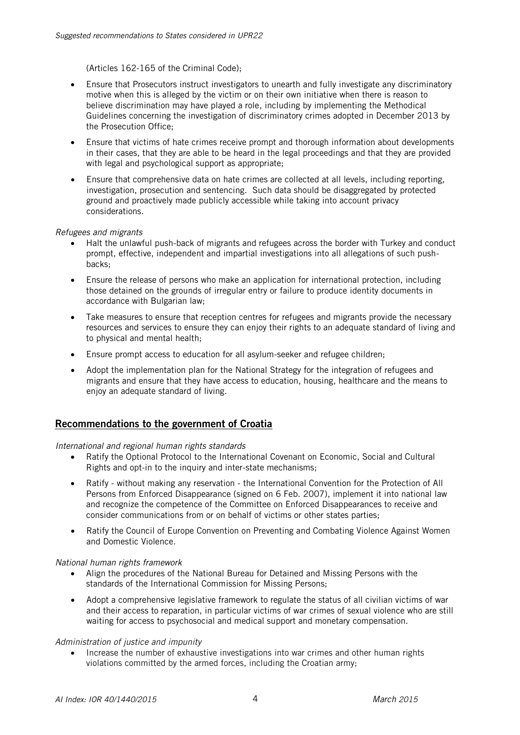(Articles 162-165 of the Criminal Code);

- Ensure that Prosecutors instruct investigators to unearth and fully investigate any discriminatory motive when this is alleged by the victim or on their own initiative when there is reason to believe discrimination may have played a role, including by implementing the Methodical Guidelines concerning the investigation of discriminatory crimes adopted in December 2013 by the Prosecution Office;
- Ensure that victims of hate crimes receive prompt and thorough information about developments in their cases, that they are able to be heard in the legal proceedings and that they are provided with legal and psychological support as appropriate;
- Ensure that comprehensive data on hate crimes are collected at all levels, including reporting, investigation, prosecution and sentencing. Such data should be disaggregated by protected ground and proactively made publicly accessible while taking into account privacy considerations.

#### *Refugees and migrants*

- Halt the unlawful push-back of migrants and refugees across the border with Turkey and conduct prompt, effective, independent and impartial investigations into all allegations of such pushbacks;
- Ensure the release of persons who make an application for international protection, including those detained on the grounds of irregular entry or failure to produce identity documents in accordance with Bulgarian law;
- Take measures to ensure that reception centres for refugees and migrants provide the necessary resources and services to ensure they can enjoy their rights to an adequate standard of living and to physical and mental health;
- Ensure prompt access to education for all asylum-seeker and refugee children;
- Adopt the implementation plan for the National Strategy for the integration of refugees and migrants and ensure that they have access to education, housing, healthcare and the means to enjoy an adequate standard of living.

# Recommendations to the government of Croatia

*International and regional human rights standards*

- Ratify the Optional Protocol to the International Covenant on Economic, Social and Cultural Rights and opt-in to the inquiry and inter-state mechanisms;
- Ratify without making any reservation the International Convention for the Protection of All Persons from Enforced Disappearance (signed on 6 Feb. 2007), implement it into national law and recognize the competence of the Committee on Enforced Disappearances to receive and consider communications from or on behalf of victims or other states parties;
- Ratify the Council of Europe Convention on Preventing and Combating Violence Against Women and Domestic Violence.

# *National human rights framework*

- Align the procedures of the National Bureau for Detained and Missing Persons with the standards of the International Commission for Missing Persons;
- Adopt a comprehensive legislative framework to regulate the status of all civilian victims of war and their access to reparation, in particular victims of war crimes of sexual violence who are still waiting for access to psychosocial and medical support and monetary compensation.

#### *Administration of justice and impunity*

 Increase the number of exhaustive investigations into war crimes and other human rights violations committed by the armed forces, including the Croatian army;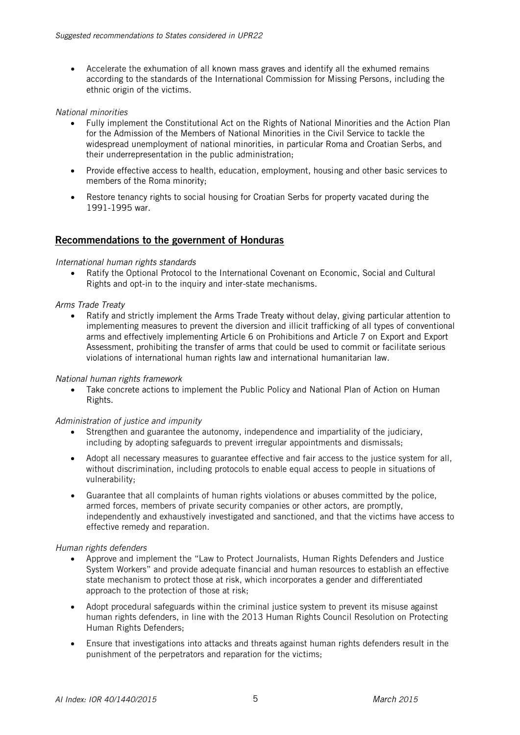Accelerate the exhumation of all known mass graves and identify all the exhumed remains according to the standards of the International Commission for Missing Persons, including the ethnic origin of the victims.

#### *National minorities*

- Fully implement the Constitutional Act on the Rights of National Minorities and the Action Plan for the Admission of the Members of National Minorities in the Civil Service to tackle the widespread unemployment of national minorities, in particular Roma and Croatian Serbs, and their underrepresentation in the public administration;
- Provide effective access to health, education, employment, housing and other basic services to members of the Roma minority;
- Restore tenancy rights to social housing for Croatian Serbs for property vacated during the 1991-1995 war.

# Recommendations to the government of Honduras

#### *International human rights standards*

 Ratify the Optional Protocol to the International Covenant on Economic, Social and Cultural Rights and opt-in to the inquiry and inter-state mechanisms.

#### *Arms Trade Treaty*

• Ratify and strictly implement the Arms Trade Treaty without delay, giving particular attention to implementing measures to prevent the diversion and illicit trafficking of all types of conventional arms and effectively implementing Article 6 on Prohibitions and Article 7 on Export and Export Assessment, prohibiting the transfer of arms that could be used to commit or facilitate serious violations of international human rights law and international humanitarian law.

# *National human rights framework*

 Take concrete actions to implement the Public Policy and National Plan of Action on Human Rights.

# *Administration of justice and impunity*

- Strengthen and guarantee the autonomy, independence and impartiality of the judiciary, including by adopting safeguards to prevent irregular appointments and dismissals;
- Adopt all necessary measures to guarantee effective and fair access to the justice system for all, without discrimination, including protocols to enable equal access to people in situations of vulnerability;
- Guarantee that all complaints of human rights violations or abuses committed by the police, armed forces, members of private security companies or other actors, are promptly, independently and exhaustively investigated and sanctioned, and that the victims have access to effective remedy and reparation.

#### *Human rights defenders*

- Approve and implement the "Law to Protect Journalists, Human Rights Defenders and Justice System Workers" and provide adequate financial and human resources to establish an effective state mechanism to protect those at risk, which incorporates a gender and differentiated approach to the protection of those at risk;
- Adopt procedural safeguards within the criminal justice system to prevent its misuse against human rights defenders, in line with the 2013 Human Rights Council Resolution on Protecting Human Rights Defenders;
- Ensure that investigations into attacks and threats against human rights defenders result in the punishment of the perpetrators and reparation for the victims;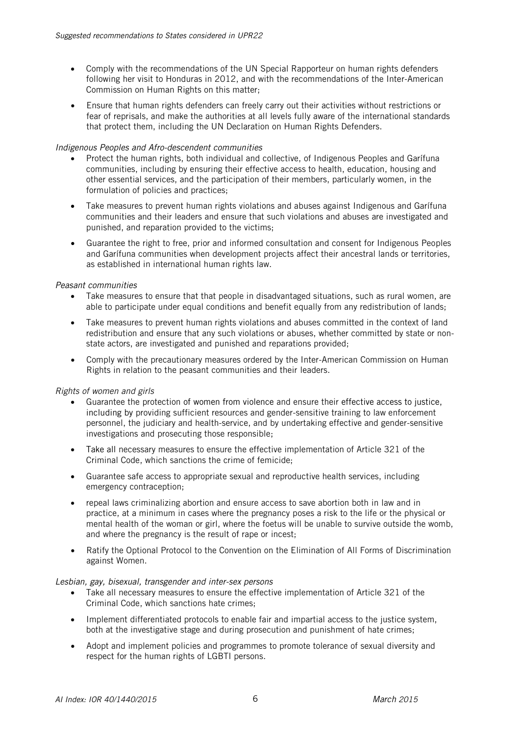- Comply with the recommendations of the UN Special Rapporteur on human rights defenders following her visit to Honduras in 2012, and with the recommendations of the Inter-American Commission on Human Rights on this matter;
- Ensure that human rights defenders can freely carry out their activities without restrictions or fear of reprisals, and make the authorities at all levels fully aware of the international standards that protect them, including the UN Declaration on Human Rights Defenders.

#### *Indigenous Peoples and Afro-descendent communities*

- Protect the human rights, both individual and collective, of Indigenous Peoples and Garífuna communities, including by ensuring their effective access to health, education, housing and other essential services, and the participation of their members, particularly women, in the formulation of policies and practices;
- Take measures to prevent human rights violations and abuses against Indigenous and Garífuna communities and their leaders and ensure that such violations and abuses are investigated and punished, and reparation provided to the victims;
- Guarantee the right to free, prior and informed consultation and consent for Indigenous Peoples and Garífuna communities when development projects affect their ancestral lands or territories, as established in international human rights law.

#### *Peasant communities*

- Take measures to ensure that that people in disadvantaged situations, such as rural women, are able to participate under equal conditions and benefit equally from any redistribution of lands;
- Take measures to prevent human rights violations and abuses committed in the context of land redistribution and ensure that any such violations or abuses, whether committed by state or nonstate actors, are investigated and punished and reparations provided;
- Comply with the precautionary measures ordered by the Inter-American Commission on Human Rights in relation to the peasant communities and their leaders.

# *Rights of women and girls*

- Guarantee the protection of women from violence and ensure their effective access to justice, including by providing sufficient resources and gender-sensitive training to law enforcement personnel, the judiciary and health-service, and by undertaking effective and gender-sensitive investigations and prosecuting those responsible;
- Take all necessary measures to ensure the effective implementation of Article 321 of the Criminal Code, which sanctions the crime of femicide;
- Guarantee safe access to appropriate sexual and reproductive health services, including emergency contraception;
- repeal laws criminalizing abortion and ensure access to save abortion both in law and in practice, at a minimum in cases where the pregnancy poses a risk to the life or the physical or mental health of the woman or girl, where the foetus will be unable to survive outside the womb, and where the pregnancy is the result of rape or incest;
- Ratify the Optional Protocol to the Convention on the Elimination of All Forms of Discrimination against Women.

#### *Lesbian, gay, bisexual, transgender and inter-sex persons*

- Take all necessary measures to ensure the effective implementation of Article 321 of the Criminal Code, which sanctions hate crimes;
- Implement differentiated protocols to enable fair and impartial access to the justice system, both at the investigative stage and during prosecution and punishment of hate crimes;
- Adopt and implement policies and programmes to promote tolerance of sexual diversity and respect for the human rights of LGBTI persons.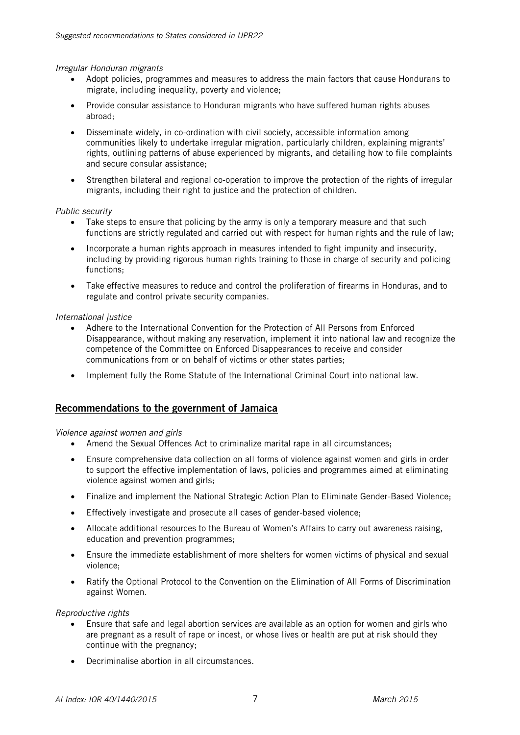*Irregular Honduran migrants*

- Adopt policies, programmes and measures to address the main factors that cause Hondurans to migrate, including inequality, poverty and violence;
- Provide consular assistance to Honduran migrants who have suffered human rights abuses abroad;
- Disseminate widely, in co-ordination with civil society, accessible information among communities likely to undertake irregular migration, particularly children, explaining migrants' rights, outlining patterns of abuse experienced by migrants, and detailing how to file complaints and secure consular assistance;
- Strengthen bilateral and regional co-operation to improve the protection of the rights of irregular migrants, including their right to justice and the protection of children.

#### *Public security*

- Take steps to ensure that policing by the army is only a temporary measure and that such functions are strictly regulated and carried out with respect for human rights and the rule of law;
- Incorporate a human rights approach in measures intended to fight impunity and insecurity, including by providing rigorous human rights training to those in charge of security and policing functions;
- Take effective measures to reduce and control the proliferation of firearms in Honduras, and to regulate and control private security companies.

# *International justice*

- Adhere to the International Convention for the Protection of All Persons from Enforced Disappearance, without making any reservation, implement it into national law and recognize the competence of the Committee on Enforced Disappearances to receive and consider communications from or on behalf of victims or other states parties;
- Implement fully the Rome Statute of the International Criminal Court into national law.

# Recommendations to the government of Jamaica

*Violence against women and girls*

- Amend the Sexual Offences Act to criminalize marital rape in all circumstances;
- Ensure comprehensive data collection on all forms of violence against women and girls in order to support the effective implementation of laws, policies and programmes aimed at eliminating violence against women and girls;
- Finalize and implement the National Strategic Action Plan to Eliminate Gender-Based Violence;
- Effectively investigate and prosecute all cases of gender-based violence;
- Allocate additional resources to the Bureau of Women's Affairs to carry out awareness raising, education and prevention programmes;
- Ensure the immediate establishment of more shelters for women victims of physical and sexual violence;
- Ratify the Optional Protocol to the Convention on the Elimination of All Forms of Discrimination against Women.

*Reproductive rights*

- Ensure that safe and legal abortion services are available as an option for women and girls who are pregnant as a result of rape or incest, or whose lives or health are put at risk should they continue with the pregnancy;
- Decriminalise abortion in all circumstances.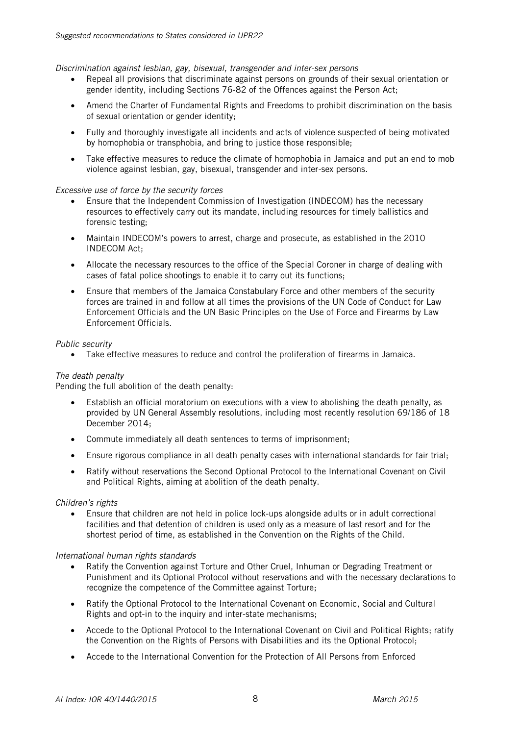*Discrimination against lesbian, gay, bisexual, transgender and inter-sex persons*

- Repeal all provisions that discriminate against persons on grounds of their sexual orientation or gender identity, including Sections 76-82 of the Offences against the Person Act;
- Amend the Charter of Fundamental Rights and Freedoms to prohibit discrimination on the basis of sexual orientation or gender identity;
- Fully and thoroughly investigate all incidents and acts of violence suspected of being motivated by homophobia or transphobia, and bring to justice those responsible;
- Take effective measures to reduce the climate of homophobia in Jamaica and put an end to mob violence against lesbian, gay, bisexual, transgender and inter-sex persons.

#### *Excessive use of force by the security forces*

- Ensure that the Independent Commission of Investigation (INDECOM) has the necessary resources to effectively carry out its mandate, including resources for timely ballistics and forensic testing;
- Maintain INDECOM's powers to arrest, charge and prosecute, as established in the 2010 INDECOM Act;
- Allocate the necessary resources to the office of the Special Coroner in charge of dealing with cases of fatal police shootings to enable it to carry out its functions;
- Ensure that members of the Jamaica Constabulary Force and other members of the security forces are trained in and follow at all times the provisions of the UN Code of Conduct for Law Enforcement Officials and the UN Basic Principles on the Use of Force and Firearms by Law Enforcement Officials.

#### *Public security*

Take effective measures to reduce and control the proliferation of firearms in Jamaica.

# *The death penalty*

Pending the full abolition of the death penalty:

- Establish an official moratorium on executions with a view to abolishing the death penalty, as provided by UN General Assembly resolutions, including most recently resolution 69/186 of 18 December 2014;
- Commute immediately all death sentences to terms of imprisonment;
- Ensure rigorous compliance in all death penalty cases with international standards for fair trial;
- Ratify without reservations the Second Optional Protocol to the International Covenant on Civil and Political Rights, aiming at abolition of the death penalty.

# *Children's rights*

 Ensure that children are not held in police lock-ups alongside adults or in adult correctional facilities and that detention of children is used only as a measure of last resort and for the shortest period of time, as established in the Convention on the Rights of the Child.

#### *International human rights standards*

- Ratify the Convention against Torture and Other Cruel, Inhuman or Degrading Treatment or Punishment and its Optional Protocol without reservations and with the necessary declarations to recognize the competence of the Committee against Torture;
- Ratify the Optional Protocol to the International Covenant on Economic, Social and Cultural Rights and opt-in to the inquiry and inter-state mechanisms;
- Accede to the Optional Protocol to the International Covenant on Civil and Political Rights; ratify the Convention on the Rights of Persons with Disabilities and its the Optional Protocol;
- Accede to the International Convention for the Protection of All Persons from Enforced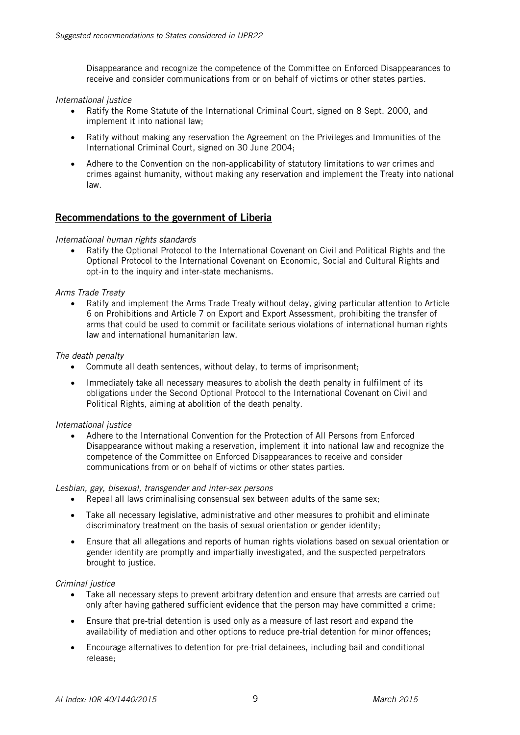Disappearance and recognize the competence of the Committee on Enforced Disappearances to receive and consider communications from or on behalf of victims or other states parties.

#### *International justice*

- Ratify the Rome Statute of the International Criminal Court, signed on 8 Sept. 2000, and implement it into national law;
- Ratify without making any reservation the Agreement on the Privileges and Immunities of the International Criminal Court, signed on 30 June 2004;
- Adhere to the Convention on the non-applicability of statutory limitations to war crimes and crimes against humanity, without making any reservation and implement the Treaty into national law.

# Recommendations to the government of Liberia

#### *International human rights standards*

• Ratify the Optional Protocol to the International Covenant on Civil and Political Rights and the Optional Protocol to the International Covenant on Economic, Social and Cultural Rights and opt-in to the inquiry and inter-state mechanisms.

#### *Arms Trade Treaty*

 Ratify and implement the Arms Trade Treaty without delay, giving particular attention to Article 6 on Prohibitions and Article 7 on Export and Export Assessment, prohibiting the transfer of arms that could be used to commit or facilitate serious violations of international human rights law and international humanitarian law.

#### *The death penalty*

- Commute all death sentences, without delay, to terms of imprisonment;
- Immediately take all necessary measures to abolish the death penalty in fulfilment of its obligations under the Second Optional Protocol to the International Covenant on Civil and Political Rights, aiming at abolition of the death penalty.

#### *International justice*

 Adhere to the International Convention for the Protection of All Persons from Enforced Disappearance without making a reservation, implement it into national law and recognize the competence of the Committee on Enforced Disappearances to receive and consider communications from or on behalf of victims or other states parties.

*Lesbian, gay, bisexual, transgender and inter-sex persons*

- Repeal all laws criminalising consensual sex between adults of the same sex;
- Take all necessary legislative, administrative and other measures to prohibit and eliminate discriminatory treatment on the basis of sexual orientation or gender identity;
- Ensure that all allegations and reports of human rights violations based on sexual orientation or gender identity are promptly and impartially investigated, and the suspected perpetrators brought to justice.

#### *Criminal justice*

- Take all necessary steps to prevent arbitrary detention and ensure that arrests are carried out only after having gathered sufficient evidence that the person may have committed a crime;
- Ensure that pre-trial detention is used only as a measure of last resort and expand the availability of mediation and other options to reduce pre-trial detention for minor offences;
- Encourage alternatives to detention for pre-trial detainees, including bail and conditional release;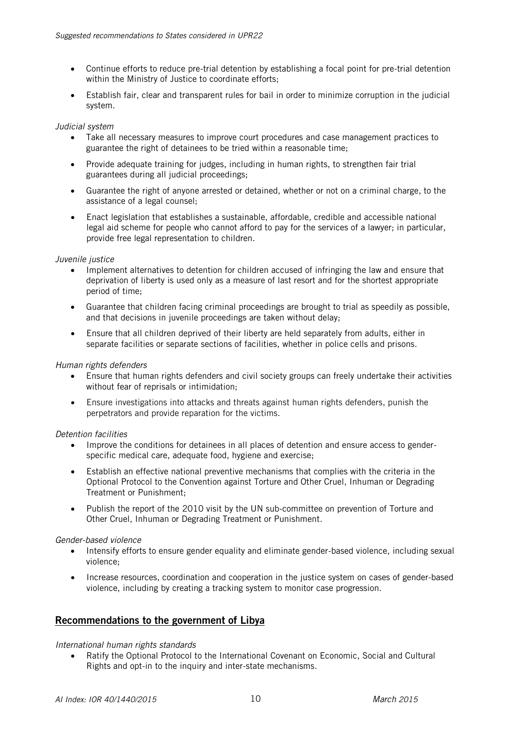- Continue efforts to reduce pre-trial detention by establishing a focal point for pre-trial detention within the Ministry of Justice to coordinate efforts;
- Establish fair, clear and transparent rules for bail in order to minimize corruption in the judicial system.

#### *Judicial system*

- Take all necessary measures to improve court procedures and case management practices to guarantee the right of detainees to be tried within a reasonable time;
- Provide adequate training for judges, including in human rights, to strengthen fair trial guarantees during all judicial proceedings;
- Guarantee the right of anyone arrested or detained, whether or not on a criminal charge, to the assistance of a legal counsel;
- Enact legislation that establishes a sustainable, affordable, credible and accessible national legal aid scheme for people who cannot afford to pay for the services of a lawyer; in particular, provide free legal representation to children.

#### *Juvenile justice*

- Implement alternatives to detention for children accused of infringing the law and ensure that deprivation of liberty is used only as a measure of last resort and for the shortest appropriate period of time;
- Guarantee that children facing criminal proceedings are brought to trial as speedily as possible, and that decisions in juvenile proceedings are taken without delay;
- Ensure that all children deprived of their liberty are held separately from adults, either in separate facilities or separate sections of facilities, whether in police cells and prisons.

#### *Human rights defenders*

- Ensure that human rights defenders and civil society groups can freely undertake their activities without fear of reprisals or intimidation;
- Ensure investigations into attacks and threats against human rights defenders, punish the perpetrators and provide reparation for the victims.

# *Detention facilities*

- Improve the conditions for detainees in all places of detention and ensure access to genderspecific medical care, adequate food, hygiene and exercise;
- Establish an effective national preventive mechanisms that complies with the criteria in the Optional Protocol to the Convention against Torture and Other Cruel, Inhuman or Degrading Treatment or Punishment;
- Publish the report of the 2010 visit by the UN sub-committee on prevention of Torture and Other Cruel, Inhuman or Degrading Treatment or Punishment.

# *Gender-based violence*

- Intensify efforts to ensure gender equality and eliminate gender-based violence, including sexual violence;
- Increase resources, coordination and cooperation in the justice system on cases of gender-based violence, including by creating a tracking system to monitor case progression.

# Recommendations to the government of Libya

# *International human rights standards*

 Ratify the Optional Protocol to the International Covenant on Economic, Social and Cultural Rights and opt-in to the inquiry and inter-state mechanisms.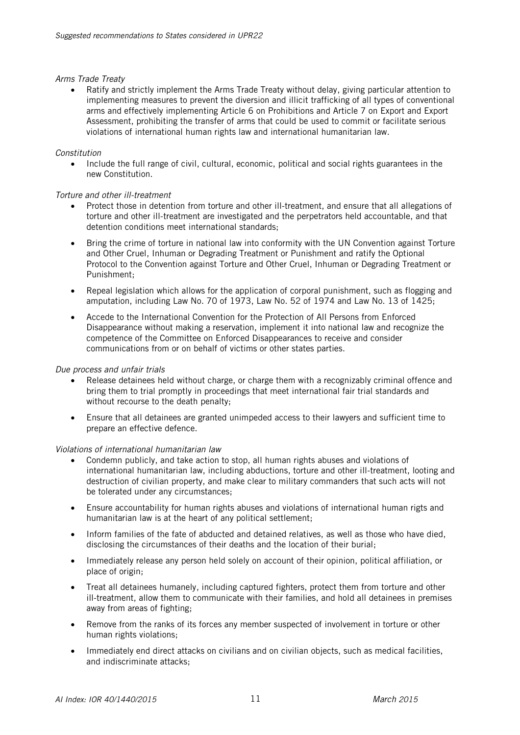#### *Arms Trade Treaty*

 Ratify and strictly implement the Arms Trade Treaty without delay, giving particular attention to implementing measures to prevent the diversion and illicit trafficking of all types of conventional arms and effectively implementing Article 6 on Prohibitions and Article 7 on Export and Export Assessment, prohibiting the transfer of arms that could be used to commit or facilitate serious violations of international human rights law and international humanitarian law.

#### *Constitution*

 Include the full range of civil, cultural, economic, political and social rights guarantees in the new Constitution.

#### *Torture and other ill-treatment*

- Protect those in detention from torture and other ill-treatment, and ensure that all allegations of torture and other ill-treatment are investigated and the perpetrators held accountable, and that detention conditions meet international standards;
- Bring the crime of torture in national law into conformity with the UN Convention against Torture and Other Cruel, Inhuman or Degrading Treatment or Punishment and ratify the Optional Protocol to the Convention against Torture and Other Cruel, Inhuman or Degrading Treatment or Punishment;
- Repeal legislation which allows for the application of corporal punishment, such as flogging and amputation, including Law No. 70 of 1973, Law No. 52 of 1974 and Law No. 13 of 1425;
- Accede to the International Convention for the Protection of All Persons from Enforced Disappearance without making a reservation, implement it into national law and recognize the competence of the Committee on Enforced Disappearances to receive and consider communications from or on behalf of victims or other states parties.

#### *Due process and unfair trials*

- Release detainees held without charge, or charge them with a recognizably criminal offence and bring them to trial promptly in proceedings that meet international fair trial standards and without recourse to the death penalty:
- Ensure that all detainees are granted unimpeded access to their lawyers and sufficient time to prepare an effective defence.

# *Violations of international humanitarian law*

- Condemn publicly, and take action to stop, all human rights abuses and violations of international humanitarian law, including abductions, torture and other ill-treatment, looting and destruction of civilian property, and make clear to military commanders that such acts will not be tolerated under any circumstances;
- Ensure accountability for human rights abuses and violations of international human rigts and humanitarian law is at the heart of any political settlement;
- Inform families of the fate of abducted and detained relatives, as well as those who have died, disclosing the circumstances of their deaths and the location of their burial;
- Immediately release any person held solely on account of their opinion, political affiliation, or place of origin;
- Treat all detainees humanely, including captured fighters, protect them from torture and other ill-treatment, allow them to communicate with their families, and hold all detainees in premises away from areas of fighting;
- Remove from the ranks of its forces any member suspected of involvement in torture or other human rights violations;
- Immediately end direct attacks on civilians and on civilian objects, such as medical facilities, and indiscriminate attacks;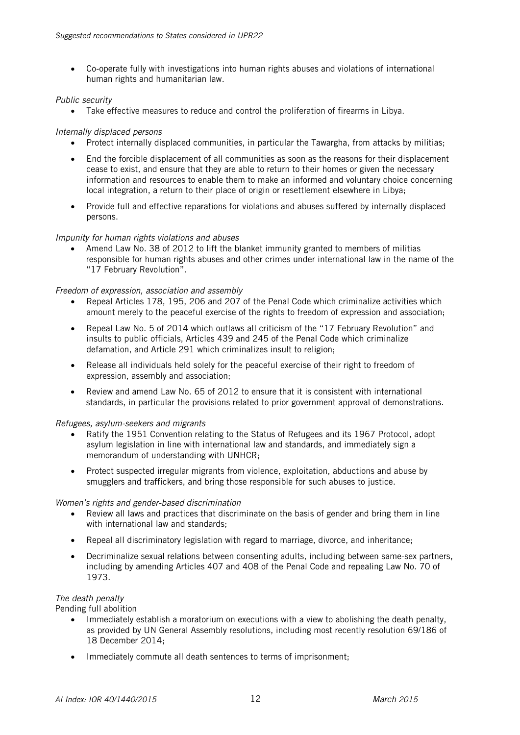Co-operate fully with investigations into human rights abuses and violations of international human rights and humanitarian law.

# *Public security*

Take effective measures to reduce and control the proliferation of firearms in Libya.

# *Internally displaced persons*

- Protect internally displaced communities, in particular the Tawargha, from attacks by militias;
- End the forcible displacement of all communities as soon as the reasons for their displacement cease to exist, and ensure that they are able to return to their homes or given the necessary information and resources to enable them to make an informed and voluntary choice concerning local integration, a return to their place of origin or resettlement elsewhere in Libya;
- Provide full and effective reparations for violations and abuses suffered by internally displaced persons.

# *Impunity for human rights violations and abuses*

 Amend Law No. 38 of 2012 to lift the blanket immunity granted to members of militias responsible for human rights abuses and other crimes under international law in the name of the "17 February Revolution".

# *Freedom of expression, association and assembly*

- Repeal Articles 178, 195, 206 and 207 of the Penal Code which criminalize activities which amount merely to the peaceful exercise of the rights to freedom of expression and association;
- Repeal Law No. 5 of 2014 which outlaws all criticism of the "17 February Revolution" and insults to public officials, Articles 439 and 245 of the Penal Code which criminalize defamation, and Article 291 which criminalizes insult to religion;
- Release all individuals held solely for the peaceful exercise of their right to freedom of expression, assembly and association;
- Review and amend Law No. 65 of 2012 to ensure that it is consistent with international standards, in particular the provisions related to prior government approval of demonstrations.

# *Refugees, asylum-seekers and migrants*

- Ratify the 1951 Convention relating to the Status of Refugees and its 1967 Protocol, adopt asylum legislation in line with international law and standards, and immediately sign a memorandum of understanding with UNHCR;
- Protect suspected irregular migrants from violence, exploitation, abductions and abuse by smugglers and traffickers, and bring those responsible for such abuses to justice.

# *Women's rights and gender-based discrimination*

- Review all laws and practices that discriminate on the basis of gender and bring them in line with international law and standards:
- Repeal all discriminatory legislation with regard to marriage, divorce, and inheritance;
- Decriminalize sexual relations between consenting adults, including between same-sex partners, including by amending Articles 407 and 408 of the Penal Code and repealing Law No. 70 of 1973.

# *The death penalty*

Pending full abolition

- Immediately establish a moratorium on executions with a view to abolishing the death penalty, as provided by UN General Assembly resolutions, including most recently resolution 69/186 of 18 December 2014;
- Immediately commute all death sentences to terms of imprisonment;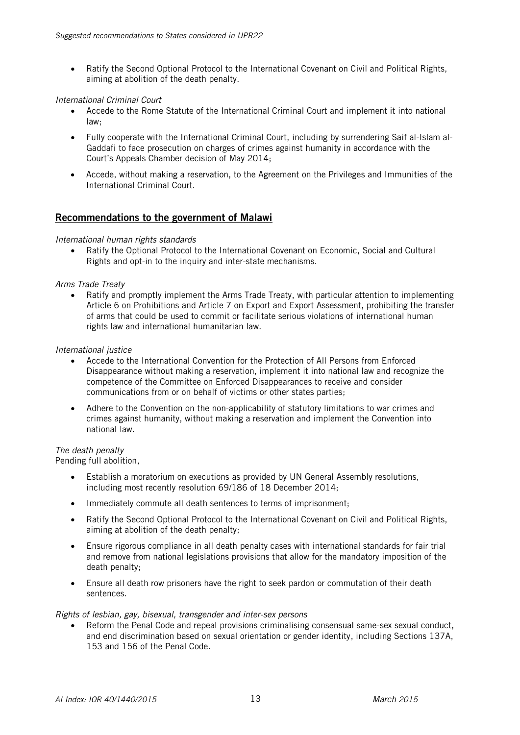Ratify the Second Optional Protocol to the International Covenant on Civil and Political Rights, aiming at abolition of the death penalty.

#### *International Criminal Court*

- Accede to the Rome Statute of the International Criminal Court and implement it into national law;
- Fully cooperate with the International Criminal Court, including by surrendering Saif al-Islam al-Gaddafi to face prosecution on charges of crimes against humanity in accordance with the Court's Appeals Chamber decision of May 2014;
- Accede, without making a reservation, to the Agreement on the Privileges and Immunities of the International Criminal Court.

# Recommendations to the government of Malawi

#### *International human rights standards*

 Ratify the Optional Protocol to the International Covenant on Economic, Social and Cultural Rights and opt-in to the inquiry and inter-state mechanisms.

#### *Arms Trade Treaty*

• Ratify and promptly implement the Arms Trade Treaty, with particular attention to implementing Article 6 on Prohibitions and Article 7 on Export and Export Assessment, prohibiting the transfer of arms that could be used to commit or facilitate serious violations of international human rights law and international humanitarian law.

#### *International justice*

- Accede to the International Convention for the Protection of All Persons from Enforced Disappearance without making a reservation, implement it into national law and recognize the competence of the Committee on Enforced Disappearances to receive and consider communications from or on behalf of victims or other states parties;
- Adhere to the Convention on the non-applicability of statutory limitations to war crimes and crimes against humanity, without making a reservation and implement the Convention into national law.

#### *The death penalty*

Pending full abolition,

- Establish a moratorium on executions as provided by UN General Assembly resolutions, including most recently resolution 69/186 of 18 December 2014;
- Immediately commute all death sentences to terms of imprisonment;
- Ratify the Second Optional Protocol to the International Covenant on Civil and Political Rights, aiming at abolition of the death penalty;
- Ensure rigorous compliance in all death penalty cases with international standards for fair trial and remove from national legislations provisions that allow for the mandatory imposition of the death penalty;
- Ensure all death row prisoners have the right to seek pardon or commutation of their death sentences.

#### *Rights of lesbian, gay, bisexual, transgender and inter-sex persons*

 Reform the Penal Code and repeal provisions criminalising consensual same-sex sexual conduct, and end discrimination based on sexual orientation or gender identity, including Sections 137A, 153 and 156 of the Penal Code.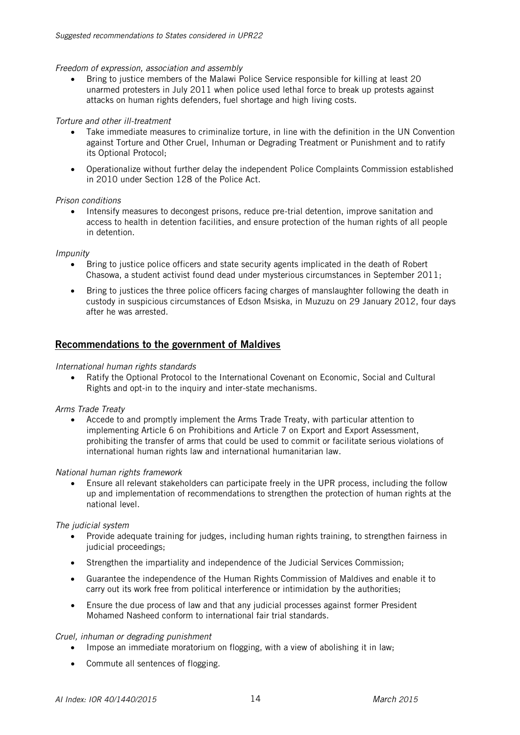#### *Freedom of expression, association and assembly*

• Bring to justice members of the Malawi Police Service responsible for killing at least 20 unarmed protesters in July 2011 when police used lethal force to break up protests against attacks on human rights defenders, fuel shortage and high living costs.

#### *Torture and other ill-treatment*

- Take immediate measures to criminalize torture, in line with the definition in the UN Convention against Torture and Other Cruel, Inhuman or Degrading Treatment or Punishment and to ratify its Optional Protocol;
- Operationalize without further delay the independent Police Complaints Commission established in 2010 under Section 128 of the Police Act.

#### *Prison conditions*

• Intensify measures to decongest prisons, reduce pre-trial detention, improve sanitation and access to health in detention facilities, and ensure protection of the human rights of all people in detention.

#### *Impunity*

- Bring to justice police officers and state security agents implicated in the death of Robert Chasowa, a student activist found dead under mysterious circumstances in September 2011;
- Bring to justices the three police officers facing charges of manslaughter following the death in custody in suspicious circumstances of Edson Msiska, in Muzuzu on 29 January 2012, four days after he was arrested.

# Recommendations to the government of Maldives

#### *International human rights standards*

 Ratify the Optional Protocol to the International Covenant on Economic, Social and Cultural Rights and opt-in to the inquiry and inter-state mechanisms.

#### *Arms Trade Treaty*

 Accede to and promptly implement the Arms Trade Treaty, with particular attention to implementing Article 6 on Prohibitions and Article 7 on Export and Export Assessment, prohibiting the transfer of arms that could be used to commit or facilitate serious violations of international human rights law and international humanitarian law.

#### *National human rights framework*

 Ensure all relevant stakeholders can participate freely in the UPR process, including the follow up and implementation of recommendations to strengthen the protection of human rights at the national level.

#### *The judicial system*

- Provide adequate training for judges, including human rights training, to strengthen fairness in judicial proceedings;
- Strengthen the impartiality and independence of the Judicial Services Commission;
- Guarantee the independence of the Human Rights Commission of Maldives and enable it to carry out its work free from political interference or intimidation by the authorities;
- Ensure the due process of law and that any judicial processes against former President Mohamed Nasheed conform to international fair trial standards.

#### *Cruel, inhuman or degrading punishment*

- Impose an immediate moratorium on flogging, with a view of abolishing it in law;
- Commute all sentences of flogging.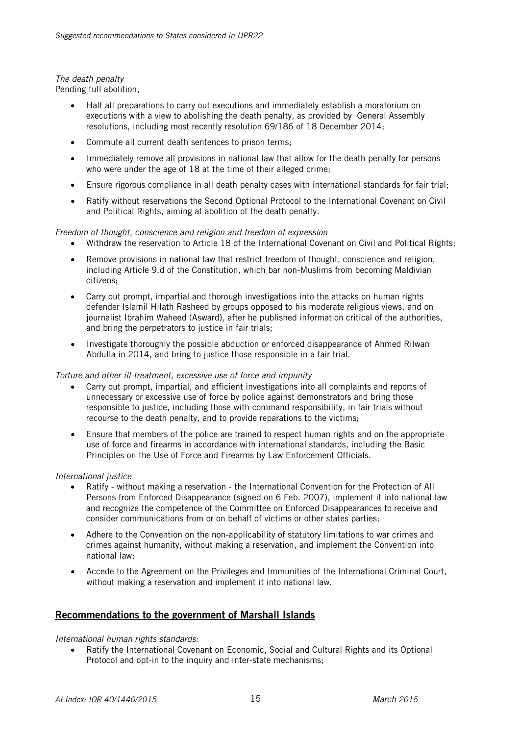# *The death penalty*

Pending full abolition,

- Halt all preparations to carry out executions and immediately establish a moratorium on executions with a view to abolishing the death penalty, as provided by General Assembly resolutions, including most recently resolution 69/186 of 18 December 2014;
- Commute all current death sentences to prison terms;
- Immediately remove all provisions in national law that allow for the death penalty for persons who were under the age of 18 at the time of their alleged crime;
- Ensure rigorous compliance in all death penalty cases with international standards for fair trial;
- Ratify without reservations the Second Optional Protocol to the International Covenant on Civil and Political Rights, aiming at abolition of the death penalty.

# *Freedom of thought, conscience and religion and freedom of expression*

- Withdraw the reservation to Article 18 of the International Covenant on Civil and Political Rights;
- Remove provisions in national law that restrict freedom of thought, conscience and religion, including Article 9.d of the Constitution, which bar non-Muslims from becoming Maldivian citizens;
- Carry out prompt, impartial and thorough investigations into the attacks on human rights defender Islamil Hilath Rasheed by groups opposed to his moderate religious views, and on journalist Ibrahim Waheed (Asward), after he published information critical of the authorities, and bring the perpetrators to justice in fair trials;
- Investigate thoroughly the possible abduction or enforced disappearance of Ahmed Rilwan Abdulla in 2014, and bring to justice those responsible in a fair trial.

# *Torture and other ill-treatment, excessive use of force and impunity*

- Carry out prompt, impartial, and efficient investigations into all complaints and reports of unnecessary or excessive use of force by police against demonstrators and bring those responsible to justice, including those with command responsibility, in fair trials without recourse to the death penalty, and to provide reparations to the victims;
- Ensure that members of the police are trained to respect human rights and on the appropriate use of force and firearms in accordance with international standards, including the Basic Principles on the Use of Force and Firearms by Law Enforcement Officials.

# *International justice*

- Ratify without making a reservation the International Convention for the Protection of All Persons from Enforced Disappearance (signed on 6 Feb. 2007), implement it into national law and recognize the competence of the Committee on Enforced Disappearances to receive and consider communications from or on behalf of victims or other states parties;
- Adhere to the Convention on the non-applicability of statutory limitations to war crimes and crimes against humanity, without making a reservation, and implement the Convention into national law;
- Accede to the Agreement on the Privileges and Immunities of the International Criminal Court, without making a reservation and implement it into national law.

# Recommendations to the government of Marshall Islands

# *International human rights standards:*

 Ratify the International Covenant on Economic, Social and Cultural Rights and its Optional Protocol and opt-in to the inquiry and inter-state mechanisms;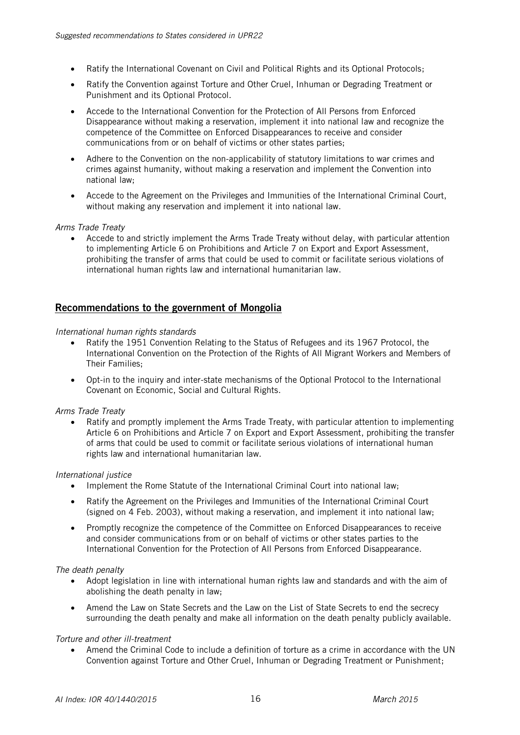- Ratify the International Covenant on Civil and Political Rights and its Optional Protocols;
- Ratify the Convention against Torture and Other Cruel, Inhuman or Degrading Treatment or Punishment and its Optional Protocol.
- Accede to the International Convention for the Protection of All Persons from Enforced Disappearance without making a reservation, implement it into national law and recognize the competence of the Committee on Enforced Disappearances to receive and consider communications from or on behalf of victims or other states parties;
- Adhere to the Convention on the non-applicability of statutory limitations to war crimes and crimes against humanity, without making a reservation and implement the Convention into national law;
- Accede to the Agreement on the Privileges and Immunities of the International Criminal Court, without making any reservation and implement it into national law.

# *Arms Trade Treaty*

 Accede to and strictly implement the Arms Trade Treaty without delay, with particular attention to implementing Article 6 on Prohibitions and Article 7 on Export and Export Assessment, prohibiting the transfer of arms that could be used to commit or facilitate serious violations of international human rights law and international humanitarian law.

# Recommendations to the government of Mongolia

#### *International human rights standards*

- Ratify the 1951 Convention Relating to the Status of Refugees and its 1967 Protocol, the International Convention on the Protection of the Rights of All Migrant Workers and Members of Their Families;
- Opt-in to the inquiry and inter-state mechanisms of the Optional Protocol to the International Covenant on Economic, Social and Cultural Rights.

#### *Arms Trade Treaty*

• Ratify and promptly implement the Arms Trade Treaty, with particular attention to implementing Article 6 on Prohibitions and Article 7 on Export and Export Assessment, prohibiting the transfer of arms that could be used to commit or facilitate serious violations of international human rights law and international humanitarian law.

#### *International justice*

- Implement the Rome Statute of the International Criminal Court into national law:
- Ratify the Agreement on the Privileges and Immunities of the International Criminal Court (signed on 4 Feb. 2003), without making a reservation, and implement it into national law;
- Promptly recognize the competence of the Committee on Enforced Disappearances to receive and consider communications from or on behalf of victims or other states parties to the International Convention for the Protection of All Persons from Enforced Disappearance.

#### *The death penalty*

- Adopt legislation in line with international human rights law and standards and with the aim of abolishing the death penalty in law;
- Amend the Law on State Secrets and the Law on the List of State Secrets to end the secrecy surrounding the death penalty and make all information on the death penalty publicly available.

# *Torture and other ill-treatment*

 Amend the Criminal Code to include a definition of torture as a crime in accordance with the UN Convention against Torture and Other Cruel, Inhuman or Degrading Treatment or Punishment;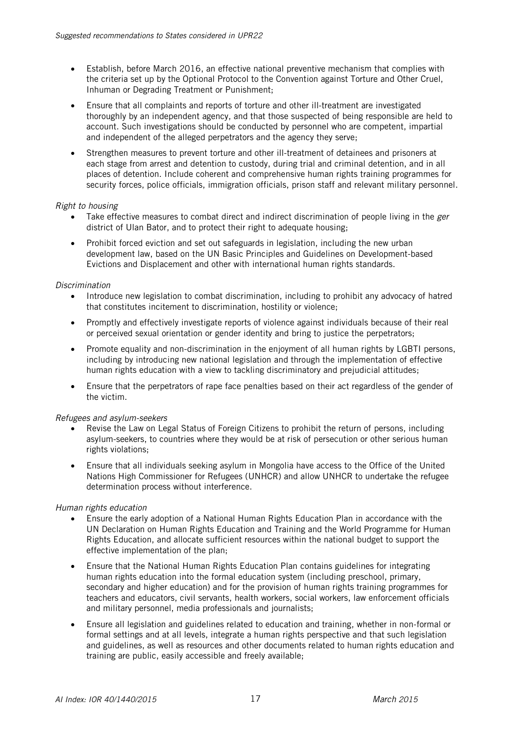- Establish, before March 2016, an effective national preventive mechanism that complies with the criteria set up by the Optional Protocol to the Convention against Torture and Other Cruel, Inhuman or Degrading Treatment or Punishment;
- Ensure that all complaints and reports of torture and other ill-treatment are investigated thoroughly by an independent agency, and that those suspected of being responsible are held to account. Such investigations should be conducted by personnel who are competent, impartial and independent of the alleged perpetrators and the agency they serve;
- Strengthen measures to prevent torture and other ill-treatment of detainees and prisoners at each stage from arrest and detention to custody, during trial and criminal detention, and in all places of detention. Include coherent and comprehensive human rights training programmes for security forces, police officials, immigration officials, prison staff and relevant military personnel.

# *Right to housing*

- Take effective measures to combat direct and indirect discrimination of people living in the *ger*  district of Ulan Bator, and to protect their right to adequate housing;
- Prohibit forced eviction and set out safeguards in legislation, including the new urban development law, based on the UN Basic Principles and Guidelines on Development-based Evictions and Displacement and other with international human rights standards.

# *Discrimination*

- Introduce new legislation to combat discrimination, including to prohibit any advocacy of hatred that constitutes incitement to discrimination, hostility or violence;
- Promptly and effectively investigate reports of violence against individuals because of their real or perceived sexual orientation or gender identity and bring to justice the perpetrators;
- Promote equality and non-discrimination in the enjoyment of all human rights by LGBTI persons, including by introducing new national legislation and through the implementation of effective human rights education with a view to tackling discriminatory and prejudicial attitudes;
- Ensure that the perpetrators of rape face penalties based on their act regardless of the gender of the victim.

# *Refugees and asylum-seekers*

- Revise the Law on Legal Status of Foreign Citizens to prohibit the return of persons, including asylum-seekers, to countries where they would be at risk of persecution or other serious human rights violations;
- Ensure that all individuals seeking asylum in Mongolia have access to the Office of the United Nations High Commissioner for Refugees (UNHCR) and allow UNHCR to undertake the refugee determination process without interference.

# *Human rights education*

- Ensure the early adoption of a National Human Rights Education Plan in accordance with the UN Declaration on Human Rights Education and Training and the World Programme for Human Rights Education, and allocate sufficient resources within the national budget to support the effective implementation of the plan;
- Ensure that the National Human Rights Education Plan contains guidelines for integrating human rights education into the formal education system (including preschool, primary, secondary and higher education) and for the provision of human rights training programmes for teachers and educators, civil servants, health workers, social workers, law enforcement officials and military personnel, media professionals and journalists;
- Ensure all legislation and guidelines related to education and training, whether in non-formal or formal settings and at all levels, integrate a human rights perspective and that such legislation and guidelines, as well as resources and other documents related to human rights education and training are public, easily accessible and freely available;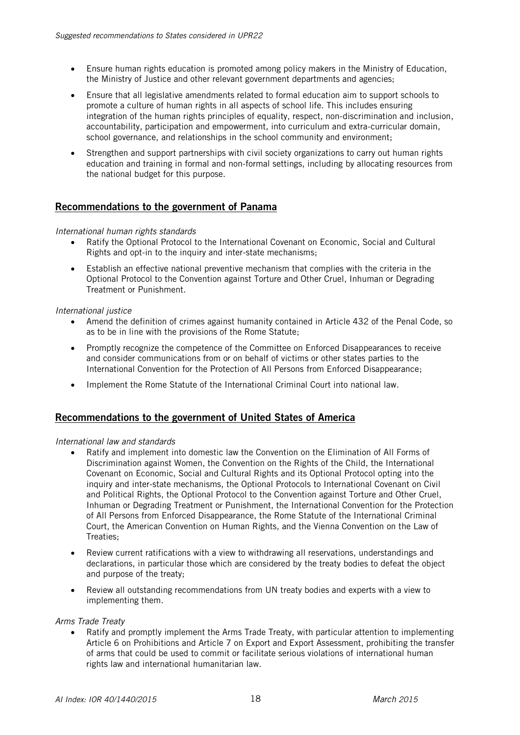- Ensure human rights education is promoted among policy makers in the Ministry of Education, the Ministry of Justice and other relevant government departments and agencies;
- Ensure that all legislative amendments related to formal education aim to support schools to promote a culture of human rights in all aspects of school life. This includes ensuring integration of the human rights principles of equality, respect, non-discrimination and inclusion, accountability, participation and empowerment, into curriculum and extra-curricular domain, school governance, and relationships in the school community and environment;
- Strengthen and support partnerships with civil society organizations to carry out human rights education and training in formal and non-formal settings, including by allocating resources from the national budget for this purpose.

# Recommendations to the government of Panama

# *International human rights standards*

- Ratify the Optional Protocol to the International Covenant on Economic, Social and Cultural Rights and opt-in to the inquiry and inter-state mechanisms;
- Establish an effective national preventive mechanism that complies with the criteria in the Optional Protocol to the Convention against Torture and Other Cruel, Inhuman or Degrading Treatment or Punishment.

# *International justice*

- Amend the definition of crimes against humanity contained in Article 432 of the Penal Code, so as to be in line with the provisions of the Rome Statute;
- Promptly recognize the competence of the Committee on Enforced Disappearances to receive and consider communications from or on behalf of victims or other states parties to the International Convention for the Protection of All Persons from Enforced Disappearance;
- Implement the Rome Statute of the International Criminal Court into national law.

# Recommendations to the government of United States of America

# *International law and standards*

- Ratify and implement into domestic law the Convention on the Elimination of All Forms of Discrimination against Women, the Convention on the Rights of the Child, the International Covenant on Economic, Social and Cultural Rights and its Optional Protocol opting into the inquiry and inter-state mechanisms, the Optional Protocols to International Covenant on Civil and Political Rights, the Optional Protocol to the Convention against Torture and Other Cruel, Inhuman or Degrading Treatment or Punishment, the International Convention for the Protection of All Persons from Enforced Disappearance, the Rome Statute of the International Criminal Court, the American Convention on Human Rights, and the Vienna Convention on the Law of Treaties;
- Review current ratifications with a view to withdrawing all reservations, understandings and declarations, in particular those which are considered by the treaty bodies to defeat the object and purpose of the treaty;
- Review all outstanding recommendations from UN treaty bodies and experts with a view to implementing them.

#### *Arms Trade Treaty*

• Ratify and promptly implement the Arms Trade Treaty, with particular attention to implementing Article 6 on Prohibitions and Article 7 on Export and Export Assessment, prohibiting the transfer of arms that could be used to commit or facilitate serious violations of international human rights law and international humanitarian law.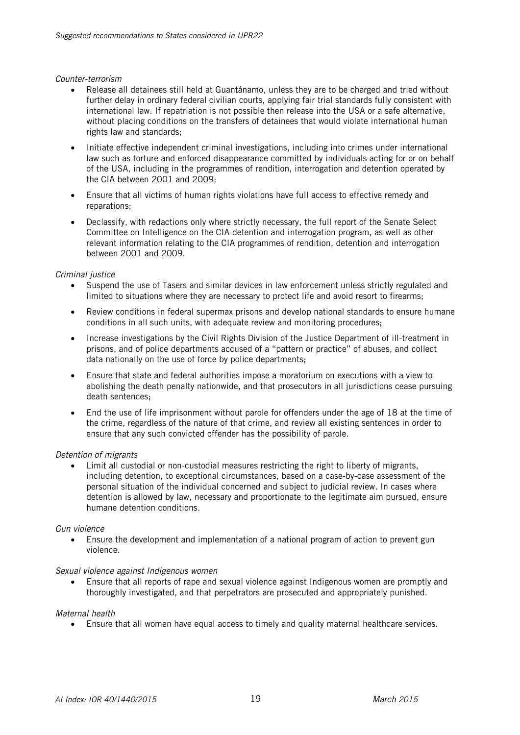#### *Counter-terrorism*

- Release all detainees still held at Guantánamo, unless they are to be charged and tried without further delay in ordinary federal civilian courts, applying fair trial standards fully consistent with international law. If repatriation is not possible then release into the USA or a safe alternative, without placing conditions on the transfers of detainees that would violate international human rights law and standards;
- Initiate effective independent criminal investigations, including into crimes under international law such as torture and enforced disappearance committed by individuals acting for or on behalf of the USA, including in the programmes of rendition, interrogation and detention operated by the CIA between 2001 and 2009;
- Ensure that all victims of human rights violations have full access to effective remedy and reparations;
- Declassify, with redactions only where strictly necessary, the full report of the Senate Select Committee on Intelligence on the CIA detention and interrogation program, as well as other relevant information relating to the CIA programmes of rendition, detention and interrogation between 2001 and 2009.

# *Criminal justice*

- Suspend the use of Tasers and similar devices in law enforcement unless strictly regulated and limited to situations where they are necessary to protect life and avoid resort to firearms;
- Review conditions in federal supermax prisons and develop national standards to ensure humane conditions in all such units, with adequate review and monitoring procedures;
- Increase investigations by the Civil Rights Division of the Justice Department of ill-treatment in prisons, and of police departments accused of a "pattern or practice" of abuses, and collect data nationally on the use of force by police departments;
- Ensure that state and federal authorities impose a moratorium on executions with a view to abolishing the death penalty nationwide, and that prosecutors in all jurisdictions cease pursuing death sentences;
- End the use of life imprisonment without parole for offenders under the age of 18 at the time of the crime, regardless of the nature of that crime, and review all existing sentences in order to ensure that any such convicted offender has the possibility of parole.

# *Detention of migrants*

 Limit all custodial or non-custodial measures restricting the right to liberty of migrants, including detention, to exceptional circumstances, based on a case-by-case assessment of the personal situation of the individual concerned and subject to judicial review. In cases where detention is allowed by law, necessary and proportionate to the legitimate aim pursued, ensure humane detention conditions.

# *Gun violence*

 Ensure the development and implementation of a national program of action to prevent gun violence.

# *Sexual violence against Indigenous women*

 Ensure that all reports of rape and sexual violence against Indigenous women are promptly and thoroughly investigated, and that perpetrators are prosecuted and appropriately punished.

# *Maternal health*

Ensure that all women have equal access to timely and quality maternal healthcare services.